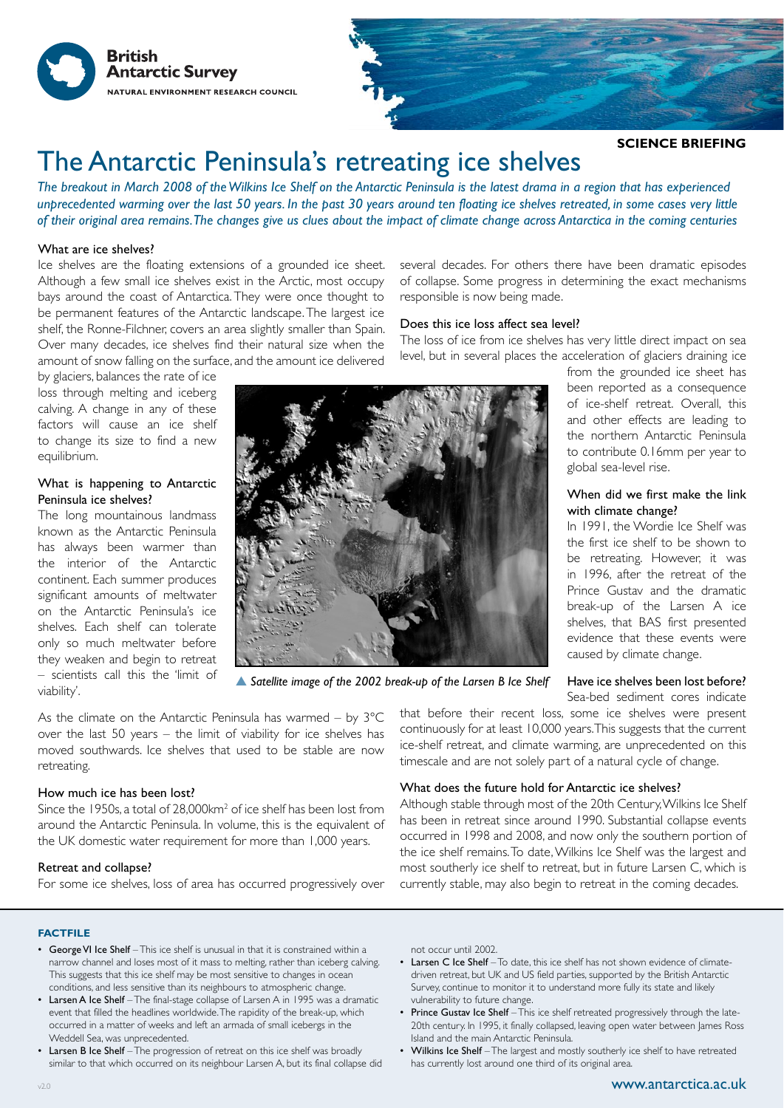



# The Antarctic Peninsula's retreating ice shelves

*The breakout in March 2008 of the Wilkins Ice Shelf on the Antarctic Peninsula is the latest drama in a region that has experienced unprecedented warming over the last 50 years. In the past 30 years around ten floating ice shelves retreated, in some cases very little of their original area remains. The changes give us clues about the impact of climate change across Antarctica in the coming centuries*

## What are ice shelves?

Ice shelves are the floating extensions of a grounded ice sheet. Although a few small ice shelves exist in the Arctic, most occupy bays around the coast of Antarctica. They were once thought to be permanent features of the Antarctic landscape. The largest ice shelf, the Ronne-Filchner, covers an area slightly smaller than Spain. Over many decades, ice shelves find their natural size when the amount of snow falling on the surface, and the amount ice delivered

by glaciers, balances the rate of ice loss through melting and iceberg calving. A change in any of these factors will cause an ice shelf to change its size to find a new equilibrium.

## What is happening to Antarctic Peninsula ice shelves?

The long mountainous landmass known as the Antarctic Peninsula has always been warmer than the interior of the Antarctic continent. Each summer produces significant amounts of meltwater on the Antarctic Peninsula's ice shelves. Each shelf can tolerate only so much meltwater before they weaken and begin to retreat – scientists call this the 'limit of viability'.



*Satellite image of the 2002 break-up of the Larsen B Ice Shelf*

As the climate on the Antarctic Peninsula has warmed – by 3°C over the last 50 years – the limit of viability for ice shelves has moved southwards. Ice shelves that used to be stable are now retreating.

#### How much ice has been lost?

Since the 1950s, a total of 28,000km<sup>2</sup> of ice shelf has been lost from around the Antarctic Peninsula. In volume, this is the equivalent of the UK domestic water requirement for more than 1,000 years.

#### Retreat and collapse?

For some ice shelves, loss of area has occurred progressively over

several decades. For others there have been dramatic episodes of collapse. Some progress in determining the exact mechanisms responsible is now being made.

## Does this ice loss affect sea level?

The loss of ice from ice shelves has very little direct impact on sea level, but in several places the acceleration of glaciers draining ice

from the grounded ice sheet has been reported as a consequence of ice-shelf retreat. Overall, this and other effects are leading to the northern Antarctic Peninsula to contribute 0.16mm per year to global sea-level rise.

## When did we first make the link with climate change?

In 1991, the Wordie Ice Shelf was the first ice shelf to be shown to be retreating. However, it was in 1996, after the retreat of the Prince Gustav and the dramatic break-up of the Larsen A ice shelves, that BAS first presented evidence that these events were caused by climate change.

## Have ice shelves been lost before?

Sea-bed sediment cores indicate

that before their recent loss, some ice shelves were present continuously for at least 10,000 years. This suggests that the current ice-shelf retreat, and climate warming, are unprecedented on this timescale and are not solely part of a natural cycle of change.

### What does the future hold for Antarctic ice shelves?

Although stable through most of the 20th Century, Wilkins Ice Shelf has been in retreat since around 1990. Substantial collapse events occurred in 1998 and 2008, and now only the southern portion of the ice shelf remains. To date, Wilkins Ice Shelf was the largest and most southerly ice shelf to retreat, but in future Larsen C, which is currently stable, may also begin to retreat in the coming decades.

#### **FACTFILE**

- George VI Ice Shelf This ice shelf is unusual in that it is constrained within a narrow channel and loses most of it mass to melting, rather than iceberg calving. This suggests that this ice shelf may be most sensitive to changes in ocean conditions, and less sensitive than its neighbours to atmospheric change.
- Larsen A Ice Shelf The final-stage collapse of Larsen A in 1995 was a dramatic event that filled the headlines worldwide. The rapidity of the break-up, which occurred in a matter of weeks and left an armada of small icebergs in the Weddell Sea, was unprecedented.
- Larsen B Ice Shelf The progression of retreat on this ice shelf was broadly similar to that which occurred on its neighbour Larsen A, but its final collapse did

not occur until 2002.

- Larsen C Ice Shelf To date, this ice shelf has not shown evidence of climatedriven retreat, but UK and US field parties, supported by the British Antarctic Survey, continue to monitor it to understand more fully its state and likely vulnerability to future change.
- Prince Gustav Ice Shelf This ice shelf retreated progressively through the late-20th century. In 1995, it finally collapsed, leaving open water between James Ross Island and the main Antarctic Peninsula.
- Wilkins Ice Shelf The largest and mostly southerly ice shelf to have retreated has currently lost around one third of its original area.